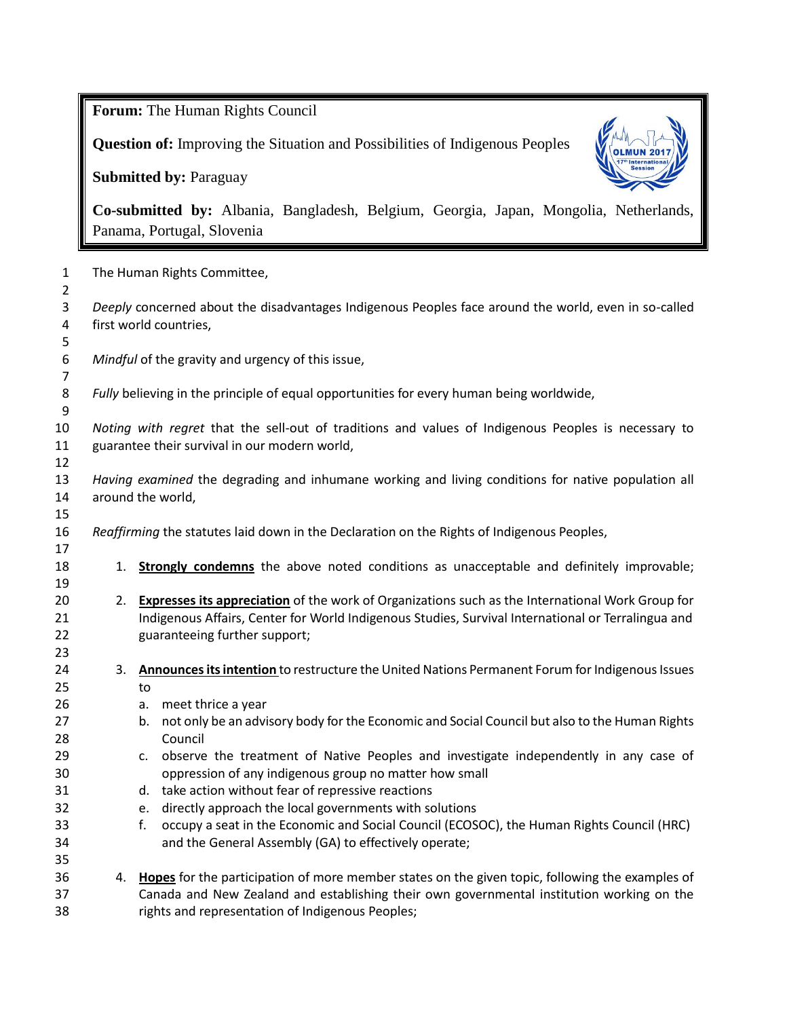**Forum:** The Human Rights Council

**Question of:** Improving the Situation and Possibilities of Indigenous Peoples

**Submitted by:** Paraguay



**Co-submitted by:** Albania, Bangladesh, Belgium, Georgia, Japan, Mongolia, Netherlands, Panama, Portugal, Slovenia

 The Human Rights Committee, *Deeply* concerned about the disadvantages Indigenous Peoples face around the world, even in so-called first world countries, *Mindful* of the gravity and urgency of this issue, *Fully* believing in the principle of equal opportunities for every human being worldwide, *Noting with regret* that the sell-out of traditions and values of Indigenous Peoples is necessary to guarantee their survival in our modern world, *Having examined* the degrading and inhumane working and living conditions for native population all around the world, *Reaffirming* the statutes laid down in the Declaration on the Rights of Indigenous Peoples, 18 1. **Strongly condemns** the above noted conditions as unacceptable and definitely improvable; 2. **Expresses its appreciation** of the work of Organizations such as the International Work Group for Indigenous Affairs, Center for World Indigenous Studies, Survival International or Terralingua and guaranteeing further support; 3. **Announces its intention** to restructure the United Nations Permanent Forum for Indigenous Issues to a. meet thrice a year 27 b. not only be an advisory body for the Economic and Social Council but also to the Human Rights Council c. observe the treatment of Native Peoples and investigate independently in any case of oppression of any indigenous group no matter how small d. take action without fear of repressive reactions e. directly approach the local governments with solutions f. occupy a seat in the Economic and Social Council (ECOSOC), the Human Rights Council (HRC) and the General Assembly (GA) to effectively operate; 4. **Hopes** for the participation of more member states on the given topic, following the examples of Canada and New Zealand and establishing their own governmental institution working on the rights and representation of Indigenous Peoples;